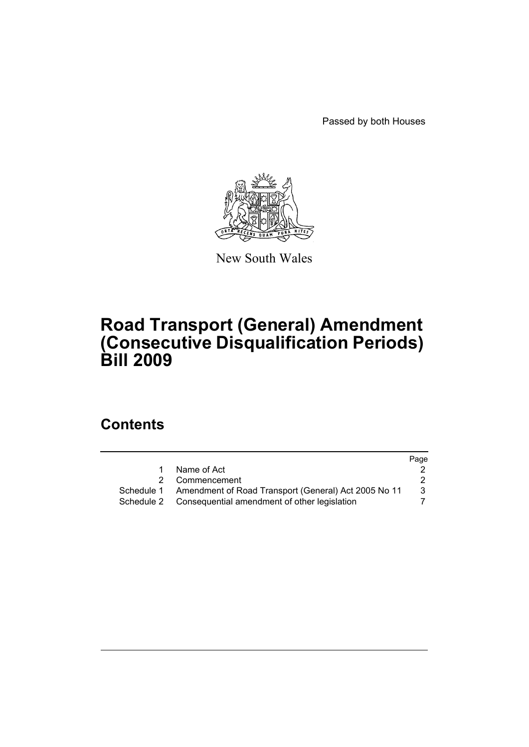Passed by both Houses



New South Wales

# **Road Transport (General) Amendment (Consecutive Disqualification Periods) Bill 2009**

# **Contents**

|                                                      | Page                                                                       |
|------------------------------------------------------|----------------------------------------------------------------------------|
| Name of Act                                          |                                                                            |
| Commencement                                         |                                                                            |
| Amendment of Road Transport (General) Act 2005 No 11 | 3                                                                          |
|                                                      |                                                                            |
|                                                      | 2<br>Schedule 1<br>Schedule 2 Consequential amendment of other legislation |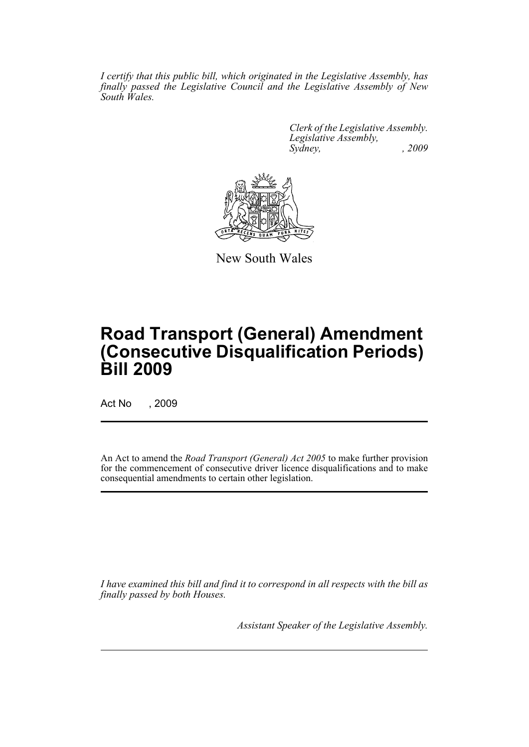*I certify that this public bill, which originated in the Legislative Assembly, has finally passed the Legislative Council and the Legislative Assembly of New South Wales.*

> *Clerk of the Legislative Assembly. Legislative Assembly, Sydney, , 2009*



New South Wales

# **Road Transport (General) Amendment (Consecutive Disqualification Periods) Bill 2009**

Act No , 2009

An Act to amend the *Road Transport (General) Act 2005* to make further provision for the commencement of consecutive driver licence disqualifications and to make consequential amendments to certain other legislation.

*I have examined this bill and find it to correspond in all respects with the bill as finally passed by both Houses.*

*Assistant Speaker of the Legislative Assembly.*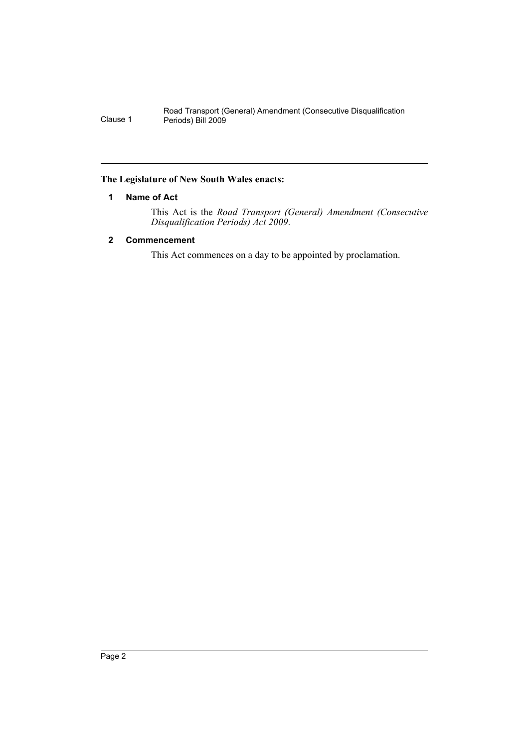### <span id="page-2-0"></span>**The Legislature of New South Wales enacts:**

## **1 Name of Act**

This Act is the *Road Transport (General) Amendment (Consecutive Disqualification Periods) Act 2009*.

## <span id="page-2-1"></span>**2 Commencement**

This Act commences on a day to be appointed by proclamation.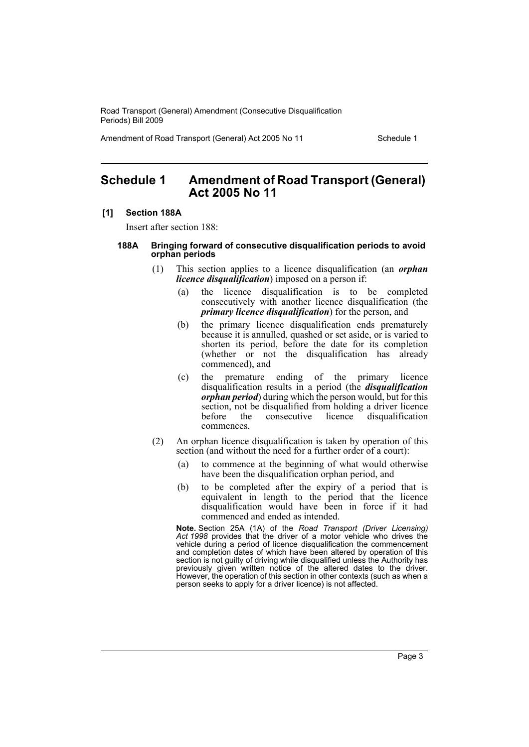Amendment of Road Transport (General) Act 2005 No 11 Schedule 1

# <span id="page-3-0"></span>**Schedule 1 Amendment of Road Transport (General) Act 2005 No 11**

#### **[1] Section 188A**

Insert after section 188:

#### **188A Bringing forward of consecutive disqualification periods to avoid orphan periods**

- (1) This section applies to a licence disqualification (an *orphan licence disqualification*) imposed on a person if:
	- (a) the licence disqualification is to be completed consecutively with another licence disqualification (the *primary licence disqualification*) for the person, and
	- (b) the primary licence disqualification ends prematurely because it is annulled, quashed or set aside, or is varied to shorten its period, before the date for its completion (whether or not the disqualification has already commenced), and
	- (c) the premature ending of the primary licence disqualification results in a period (the *disqualification orphan period*) during which the person would, but for this section, not be disqualified from holding a driver licence before the consecutive licence disqualification commences.
- (2) An orphan licence disqualification is taken by operation of this section (and without the need for a further order of a court):
	- (a) to commence at the beginning of what would otherwise have been the disqualification orphan period, and
	- (b) to be completed after the expiry of a period that is equivalent in length to the period that the licence disqualification would have been in force if it had commenced and ended as intended.

**Note.** Section 25A (1A) of the *Road Transport (Driver Licensing) Act 1998* provides that the driver of a motor vehicle who drives the vehicle during a period of licence disqualification the commencement and completion dates of which have been altered by operation of this section is not quilty of driving while disqualified unless the Authority has previously given written notice of the altered dates to the driver. However, the operation of this section in other contexts (such as when a person seeks to apply for a driver licence) is not affected.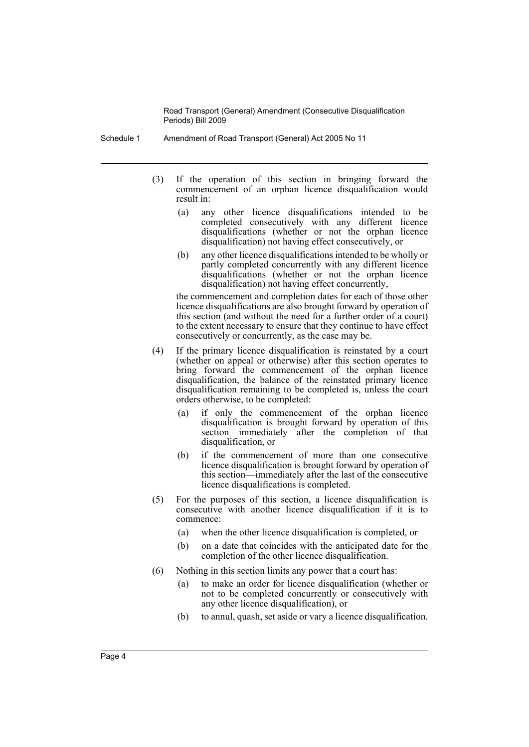- Schedule 1 Amendment of Road Transport (General) Act 2005 No 11
	- (3) If the operation of this section in bringing forward the commencement of an orphan licence disqualification would result in:
		- (a) any other licence disqualifications intended to be completed consecutively with any different licence disqualifications (whether or not the orphan licence disqualification) not having effect consecutively, or
		- (b) any other licence disqualifications intended to be wholly or partly completed concurrently with any different licence disqualifications (whether or not the orphan licence disqualification) not having effect concurrently,

the commencement and completion dates for each of those other licence disqualifications are also brought forward by operation of this section (and without the need for a further order of a court) to the extent necessary to ensure that they continue to have effect consecutively or concurrently, as the case may be.

- (4) If the primary licence disqualification is reinstated by a court (whether on appeal or otherwise) after this section operates to bring forward the commencement of the orphan licence disqualification, the balance of the reinstated primary licence disqualification remaining to be completed is, unless the court orders otherwise, to be completed:
	- (a) if only the commencement of the orphan licence disqualification is brought forward by operation of this section—immediately after the completion of that disqualification, or
	- (b) if the commencement of more than one consecutive licence disqualification is brought forward by operation of this section—immediately after the last of the consecutive licence disqualifications is completed.
- (5) For the purposes of this section, a licence disqualification is consecutive with another licence disqualification if it is to commence:
	- (a) when the other licence disqualification is completed, or
	- (b) on a date that coincides with the anticipated date for the completion of the other licence disqualification.
- (6) Nothing in this section limits any power that a court has:
	- (a) to make an order for licence disqualification (whether or not to be completed concurrently or consecutively with any other licence disqualification), or
	- (b) to annul, quash, set aside or vary a licence disqualification.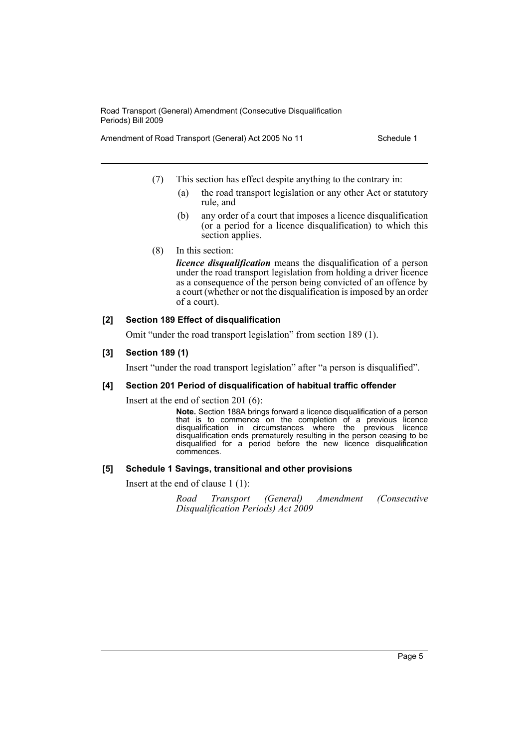Amendment of Road Transport (General) Act 2005 No 11 Schedule 1

- (7) This section has effect despite anything to the contrary in:
	- (a) the road transport legislation or any other Act or statutory rule, and
	- (b) any order of a court that imposes a licence disqualification (or a period for a licence disqualification) to which this section applies.
- (8) In this section:

*licence disqualification* means the disqualification of a person under the road transport legislation from holding a driver licence as a consequence of the person being convicted of an offence by a court (whether or not the disqualification is imposed by an order of a court).

#### **[2] Section 189 Effect of disqualification**

Omit "under the road transport legislation" from section 189 (1).

### **[3] Section 189 (1)**

Insert "under the road transport legislation" after "a person is disqualified".

#### **[4] Section 201 Period of disqualification of habitual traffic offender**

Insert at the end of section 201 (6):

**Note.** Section 188A brings forward a licence disqualification of a person that is to commence on the completion of a previous licence disqualification in circumstances where the previous licence disqualification ends prematurely resulting in the person ceasing to be disqualified for a period before the new licence disqualification commences.

#### **[5] Schedule 1 Savings, transitional and other provisions**

Insert at the end of clause 1 (1):

*Road Transport (General) Amendment (Consecutive Disqualification Periods) Act 2009*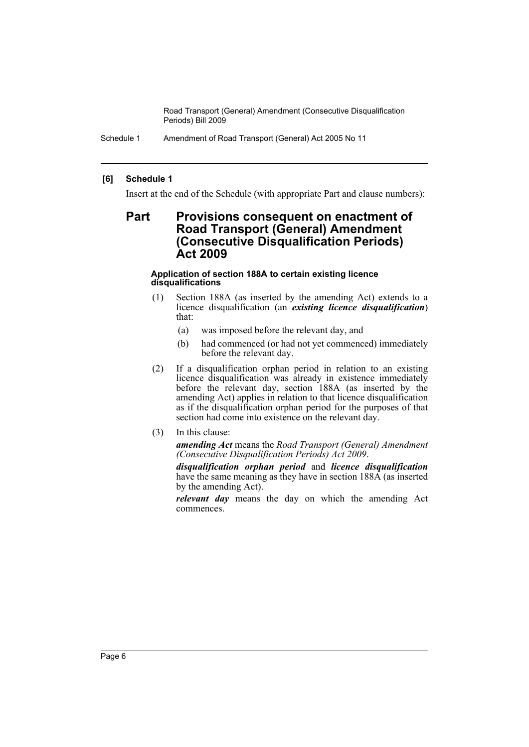Schedule 1 Amendment of Road Transport (General) Act 2005 No 11

### **[6] Schedule 1**

Insert at the end of the Schedule (with appropriate Part and clause numbers):

# **Part Provisions consequent on enactment of Road Transport (General) Amendment (Consecutive Disqualification Periods) Act 2009**

#### **Application of section 188A to certain existing licence disqualifications**

- (1) Section 188A (as inserted by the amending Act) extends to a licence disqualification (an *existing licence disqualification*) that:
	- (a) was imposed before the relevant day, and
	- (b) had commenced (or had not yet commenced) immediately before the relevant day.
- (2) If a disqualification orphan period in relation to an existing licence disqualification was already in existence immediately before the relevant day, section 188A (as inserted by the amending Act) applies in relation to that licence disqualification as if the disqualification orphan period for the purposes of that section had come into existence on the relevant day.
- (3) In this clause:

*amending Act* means the *Road Transport (General) Amendment (Consecutive Disqualification Periods) Act 2009*.

*disqualification orphan period* and *licence disqualification* have the same meaning as they have in section 188A (as inserted by the amending Act).

*relevant day* means the day on which the amending Act commences.